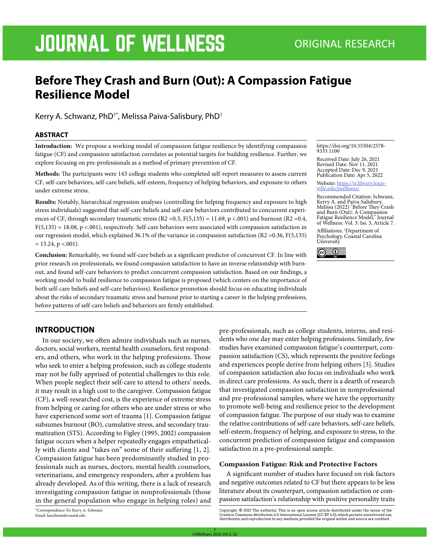# JOURNAL OF WELLNESS ORIGINAL RESEARCH

# **Before They Crash and Burn (Out): A Compassion Fatigue Resilience Model**

Kerry A. Schwanz, PhD<sup>1\*</sup>, Melissa Paiva-Salisbury, PhD<sup>1</sup>

#### **ABSTRACT**

**Introduction:** We propose a working model of compassion fatigue resilience by identifying compassion fatigue (CF) and compassion satisfaction correlates as potential targets for building resilience. Further, we explore focusing on pre-professionals as a method of primary prevention of CF.

**Methods:** The participants were 143 college students who completed self-report measures to assess current CF, self-care behaviors, self-care beliefs, self-esteem, frequency of helping behaviors, and exposure to others under extreme stress.

**Results:** Notably, hierarchical regression analyses (controlling for helping frequency and exposure to high stress individuals) suggested that self-care beliefs and self-care behaviors contributed to concurrent experiences of CF, through secondary traumatic stress  $(R2 = 0.3, F(5,135) = 11.69, p < .001)$  and burnout  $(R2 = 0.4, F(5,135) = 11.69, p < .001)$ F(5,135) = 18.08, p <.001), respectively. Self-care behaviors were associated with compassion satisfaction in our regression model, which explained 36.1% of the variance in compassion satisfaction (R2 =0.36, F(5,135)  $= 15.24$ , p <.001).

**Conclusion:** Remarkably, we found self-care beliefs as a significant predictor of concurrent CF. In line with prior research on professionals, we found compassion satisfaction to have an inverse relationship with burnout, and found self-care behaviors to predict concurrent compassion satisfaction. Based on our findings, a working model to build resilience to compassion fatigue is proposed (which centers on the importance of both self-care beliefs and self-care behaviors). Resilience promotion should focus on educating individuals about the risks of secondary traumatic stress and burnout prior to starting a career in the helping professions, before patterns of self-care beliefs and behaviors are firmly established.

#### https://doi.org/10.55504/2578- 9333.1100

Received Date: July 26, 2021 Revised Date: Nov 11, 2021 Accepted Date: Dec 9, 2021 Publication Date: Apr 5, 2022

Website: https://ir.library.louis- ville.edu/jwellness/

Recommended Citation: Schwanz, Kerry A. and Paiva-Salisbury, Melissa (2022) "Before They Crash and Burn (Out): A Compassion Fatigue Resilience Model," Journal of Wellness: Vol. 3: Iss. 3, Article 7.

Affiliations: 1 Department of Psychology, Coastal Carolina University



# **INTRODUCTION**

In our society, we often admire individuals such as nurses, doctors, social workers, mental health counselors, first responders, and others, who work in the helping professions. Those who seek to enter a helping profession, such as college students may not be fully apprised of potential challenges to this role. When people neglect their self-care to attend to others' needs, it may result in a high cost to the caregiver. Compassion fatigue (CF), a well-researched cost, is the experience of extreme stress from helping or caring for others who are under stress or who have experienced some sort of trauma [1]. Compassion fatigue subsumes burnout (BO), cumulative stress, and secondary traumatization (STS). According to Figley (1995, 2002) compassion fatigue occurs when a helper repeatedly engages empathetically with clients and "takes on" some of their suffering [1, 2]. Compassion fatigue has been predominantly studied in professionals such as nurses, doctors, mental health counselors, veterinarians, and emergency responders, after a problem has already developed. As of this writing, there is a lack of research investigating compassion fatigue in nonprofessionals (those in the general population who engage in helping roles) and

\*Correspondence To: Kerry A. Schwanz Email: kaschwan@coastal.edu

pre-professionals, such as college students, interns, and residents who one day may enter helping professions. Similarly, few studies have examined compassion fatigue's counterpart, compassion satisfaction (CS), which represents the positive feelings and experiences people derive from helping others [3]. Studies of compassion satisfaction also focus on individuals who work in direct care professions. As such, there is a dearth of research that investigated compassion satisfaction in nonprofessional and pre-professional samples, where we have the opportunity to promote well-being and resilience prior to the development of compassion fatigue. The purpose of our study was to examine the relative contributions of self-care behaviors, self-care beliefs, self-esteem, frequency of helping, and exposure to stress, to the concurrent prediction of compassion fatigue and compassion satisfaction in a pre-professional sample.

#### **Compassion Fatigue: Risk and Protective Factors**

A significant number of studies have focused on risk factors and negative outcomes related to CF but there appears to be less literature about its counterpart, compassion satisfaction or compassion satisfaction's relationship with positive personality traits

Copyright: © 2021 The author(s). This is an open access article distributed under the terms of the<br>Creative Commons Attribution 4.0 International License (CC BY 4.0), which permits unrestricted use,<br>distribution,and repro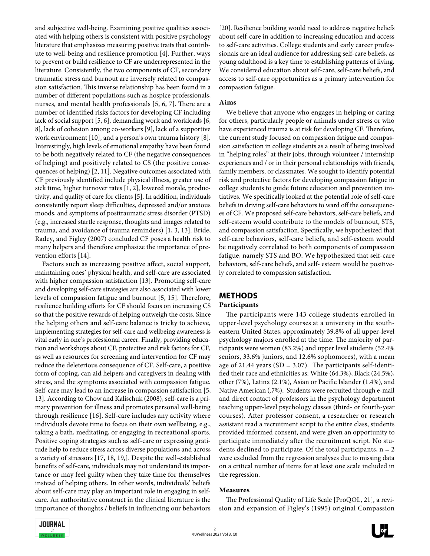and subjective well-being. Examining positive qualities associated with helping others is consistent with positive psychology literature that emphasizes measuring positive traits that contribute to well-being and resilience promotion [4]. Further, ways to prevent or build resilience to CF are underrepresented in the literature. Consistently, the two components of CF, secondary traumatic stress and burnout are inversely related to compassion satisfaction. This inverse relationship has been found in a number of different populations such as hospice professionals, nurses, and mental health professionals [5, 6, 7]. There are a number of identified risks factors for developing CF including lack of social support [5, 6], demanding work and workloads [6, 8], lack of cohesion among co-workers [9], lack of a supportive work environment [10], and a person's own trauma history [8]. Interestingly, high levels of emotional empathy have been found to be both negatively related to CF (the negative consequences of helping) and positively related to CS (the positive consequences of helping) [2, 11]. Negative outcomes associated with CF previously identified include physical illness, greater use of sick time, higher turnover rates [1, 2], lowered morale, productivity, and quality of care for clients [5]. In addition, individuals consistently report sleep difficulties, depressed and/or anxious moods, and symptoms of posttraumatic stress disorder (PTSD) (e.g., increased startle response, thoughts and images related to trauma, and avoidance of trauma reminders) [1, 3, 13]. Bride, Radey, and Figley (2007) concluded CF poses a health risk to many helpers and therefore emphasize the importance of prevention efforts [14].

Factors such as increasing positive affect, social support, maintaining ones' physical health, and self-care are associated with higher compassion satisfaction [13]. Promoting self-care and developing self-care strategies are also associated with lower levels of compassion fatigue and burnout [5, 15]. Therefore, resilience building efforts for CF should focus on increasing CS so that the positive rewards of helping outweigh the costs. Since the helping others and self-care balance is tricky to achieve, implementing strategies for self-care and wellbeing awareness is vital early in one's professional career. Finally, providing education and workshops about CF, protective and risk factors for CF, as well as resources for screening and intervention for CF may reduce the deleterious consequence of CF. Self-care, a positive form of coping, can aid helpers and caregivers in dealing with stress, and the symptoms associated with compassion fatigue. Self-care may lead to an increase in compassion satisfaction [5, 13]. According to Chow and Kalischuk (2008), self-care is a primary prevention for illness and promotes personal well-being through resilience [16]. Self-care includes any activity where individuals devote time to focus on their own wellbeing, e.g., taking a bath, meditating, or engaging in recreational sports. Positive coping strategies such as self-care or expressing gratitude help to reduce stress across diverse populations and across a variety of stressors [17, 18, 19,]. Despite the well-established benefits of self-care, individuals may not understand its importance or may feel guilty when they take time for themselves instead of helping others. In other words, individuals' beliefs about self-care may play an important role in engaging in selfcare. An authoritative construct in the clinical literature is the importance of thoughts / beliefs in influencing our behaviors [20]. Resilience building would need to address negative beliefs about self-care in addition to increasing education and access to self-care activities. College students and early career professionals are an ideal audience for addressing self-care beliefs, as young adulthood is a key time to establishing patterns of living. We considered education about self-care, self-care beliefs, and access to self-care opportunities as a primary intervention for compassion fatigue.

#### **Aims**

We believe that anyone who engages in helping or caring for others, particularly people or animals under stress or who have experienced trauma is at risk for developing CF. Therefore, the current study focused on compassion fatigue and compassion satisfaction in college students as a result of being involved in "helping roles" at their jobs, through volunteer / internship experiences and / or in their personal relationships with friends, family members, or classmates. We sought to identify potential risk and protective factors for developing compassion fatigue in college students to guide future education and prevention initiatives. We specifically looked at the potential role of self-care beliefs in driving self-care behaviors to ward off the consequences of CF. We proposed self-care behaviors, self-care beliefs, and self-esteem would contribute to the models of burnout, STS, and compassion satisfaction. Specifically, we hypothesized that self-care behaviors, self-care beliefs, and self-esteem would be negatively correlated to both components of compassion fatigue, namely STS and BO. We hypothesized that self-care behaviors, self-care beliefs, and self- esteem would be positively correlated to compassion satisfaction.

# **METHODS**

# **Participants**

The participants were 143 college students enrolled in upper-level psychology courses at a university in the southeastern United States, approximately 39.8% of all upper-level psychology majors enrolled at the time. The majority of participants were women (83.2%) and upper level students (52.4% seniors, 33.6% juniors, and 12.6% sophomores), with a mean age of 21.44 years  $(SD = 3.07)$ . The participants self-identified their race and ethnicities as: White (64.3%), Black (24.5%), other (7%), Latinx (2.1%), Asian or Pacific Islander (1.4%), and Native American (.7%). Students were recruited through e-mail and direct contact of professors in the psychology department teaching upper-level psychology classes (third- or fourth-year courses). After professor consent, a researcher or research assistant read a recruitment script to the entire class, students provided informed consent, and were given an opportunity to participate immediately after the recruitment script. No students declined to participate. Of the total participants,  $n = 2$ were excluded from the regression analyses due to missing data on a critical number of items for at least one scale included in the regression.

# **Measures**

The Professional Quality of Life Scale [ProQOL, 21], a revision and expansion of Figley's (1995) original Compassion

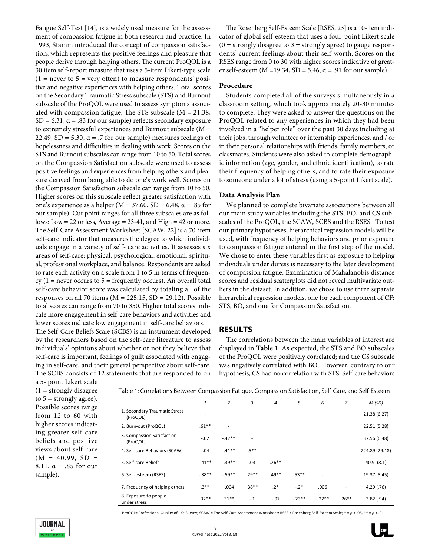Fatigue Self-Test [14], is a widely used measure for the assessment of compassion fatigue in both research and practice. In 1993, Stamm introduced the concept of compassion satisfaction, which represents the positive feelings and pleasure that people derive through helping others. The current ProQOL,is a 30 item self-report measure that uses a 5-item Likert-type scale  $(1 =$  never to 5 = very often) to measure respondents' positive and negative experiences with helping others. Total scores on the Secondary Traumatic Stress subscale (STS) and Burnout subscale of the ProQOL were used to assess symptoms associated with compassion fatigue. The STS subscale (M = 21.38, SD =  $6.31$ ,  $\alpha$  = .83 for our sample) reflects secondary exposure to extremely stressful experiences and Burnout subscale (M = 22.49, SD = 5.30,  $\alpha$  = .7 for our sample) measures feelings of hopelessness and difficulties in dealing with work. Scores on the STS and Burnout subscales can range from 10 to 50. Total scores on the Compassion Satisfaction subscale were used to assess positive feelings and experiences from helping others and pleasure derived from being able to do one's work well. Scores on the Compassion Satisfaction subscale can range from 10 to 50. Higher scores on this subscale reflect greater satisfaction with one's experience as a helper ( $M = 37.60$ ,  $SD = 6.48$ ,  $\alpha = .85$  for our sample). Cut point ranges for all three subscales are as follows: Low = 22 or less, Average =  $23-41$ , and High = 42 or more. The Self-Care Assessment Worksheet [SCAW, 22] is a 70-item self-care indicator that measures the degree to which individuals engage in a variety of self- care activities. It assesses six areas of self-care: physical, psychological, emotional, spiritual, professional workplace, and balance. Respondents are asked to rate each activity on a scale from 1 to 5 in terms of frequency ( $1$  = never occurs to  $5$  = frequently occurs). An overall total self-care behavior score was calculated by totaling all of the responses on all 70 items (M = 225.15, SD = 29.12). Possible total scores can range from 70 to 350. Higher total scores indicate more engagement in self-care behaviors and activities and lower scores indicate low engagement in self-care behaviors. The Self-Care Beliefs Scale (SCBS) is an instrument developed

by the researchers based on the self-care literature to assess individuals' opinions about whether or not they believe that self-care is important, feelings of guilt associated with engaging in self-care, and their general perspective about self-care. The SCBS consists of 12 statements that are responded to on

The Rosenberg Self-Esteem Scale [RSES, 23] is a 10-item indicator of global self-esteem that uses a four-point Likert scale  $(0 =$  strongly disagree to  $3 =$  strongly agree) to gauge respondents' current feelings about their self-worth. Scores on the RSES range from 0 to 30 with higher scores indicative of greater self-esteem ( $M = 19.34$ ,  $SD = 5.46$ ,  $\alpha = .91$  for our sample).

# **Procedure**

Students completed all of the surveys simultaneously in a classroom setting, which took approximately 20-30 minutes to complete. They were asked to answer the questions on the ProQOL related to any experiences in which they had been involved in a "helper role" over the past 30 days including at their jobs, through volunteer or internship experiences, and / or in their personal relationships with friends, family members, or classmates. Students were also asked to complete demographic information (age, gender, and ethnic identification), to rate their frequency of helping others, and to rate their exposure to someone under a lot of stress (using a 5-point Likert scale).

#### **Data Analysis Plan**

We planned to complete bivariate associations between all our main study variables including the STS, BO, and CS subscales of the ProQOL, the SCAW, SCBS and the RSES. To test our primary hypotheses, hierarchical regression models will be used, with frequency of helping behaviors and prior exposure to compassion fatigue entered in the first step of the model. We chose to enter these variables first as exposure to helping individuals under duress is necessary to the later development of compassion fatigue. Examination of Mahalanobis distance scores and residual scatterplots did not reveal multivariate outliers in the dataset. In addition, we chose to use three separate hierarchical regression models, one for each component of CF: STS, BO, and one for Compassion Satisfaction.

#### **RESULTS**

The correlations between the main variables of interest are displayed in **Table 1**. As expected, the STS and BO subscales of the ProQOL were positively correlated; and the CS subscale was negatively correlated with BO. However, contrary to our hypothesis, CS had no correlation with STS. Self-care behaviors

a 5- point Likert scale  $(1 =$  strongly disagree to  $5 =$  strongly agree). Possible scores range from 12 to 60 with higher scores indicating greater self-care beliefs and positive views about self-care  $(M = 40.99, SD =$ 8.11,  $\alpha = .85$  for our sample).

Table 1: Correlations Between Compassion Fatigue, Compassion Satisfaction, Self-Care, and Self-Esteem

|                                           | 1        | 2        | 3       | $\overline{4}$ | 5              | 6        | 7       | M(SD)          |
|-------------------------------------------|----------|----------|---------|----------------|----------------|----------|---------|----------------|
| 1. Secondary Traumatic Stress<br>(ProQOL) |          |          |         |                |                |          |         | 21.38 (6.27)   |
| 2. Burn-out (ProQOL)                      | $.61***$ | ٠        |         |                |                |          |         | 22.51 (5.28)   |
| 3. Compassion Satisfaction<br>(ProQOL)    | $-.02$   | $-42**$  | ٠       |                |                |          |         | 37.56 (6.48)   |
| 4. Self-care Behaviors (SCAW)             | $-.04$   | $-.41**$ | $.5***$ | ٠              |                |          |         | 224.89 (29.18) |
| 5. Self-care Beliefs                      | $-.41**$ | $-39**$  | .03     | $.26**$        | $\blacksquare$ |          |         | 40.9(8.1)      |
| 6. Self-esteem (RSES)                     | $-.38**$ | $-.59**$ | $.29**$ | $.49**$        | $.53**$        | ٠        |         | 19.37 (5.45)   |
| 7. Frequency of helping others            | $.3***$  | $-.004$  | $.38**$ | $.2*$          | $-.2*$         | .006     |         | 4.29(0.76)     |
| 8. Exposure to people<br>under stress     | $.32**$  | $.31**$  | $-.1$   | $-.07$         | $-.23***$      | $-.27**$ | $.26**$ | 3.82(.94)      |

ProQOL= Professional Quality of Life Survey; SCAW = The Self-Care Assessment Worksheet; RSES = Rosenberg Self-Esteem Scale; \* = *p* < .05, \*\* = *p* < .01.

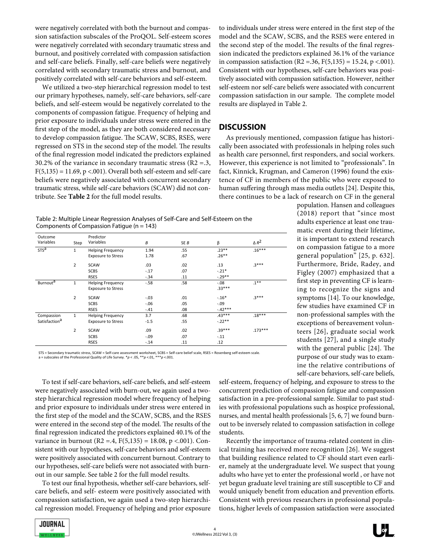were negatively correlated with both the burnout and compassion satisfaction subscales of the ProQOL. Self-esteem scores were negatively correlated with secondary traumatic stress and burnout, and positively correlated with compassion satisfaction and self-care beliefs. Finally, self-care beliefs were negatively correlated with secondary traumatic stress and burnout, and positively correlated with self-care behaviors and self-esteem.

We utilized a two-step hierarchical regression model to test our primary hypotheses, namely, self-care behaviors, self-care beliefs, and self-esteem would be negatively correlated to the components of compassion fatigue. Frequency of helping and prior exposure to individuals under stress were entered in the first step of the model, as they are both considered necessary to develop compassion fatigue. The SCAW, SCBS, RSES, were regressed on STS in the second step of the model. The results of the final regression model indicated the predictors explained 30.2% of the variance in secondary traumatic stress ( $R2 = .3$ ,  $F(5,135) = 11.69$ ,  $p < .001$ ). Overall both self-esteem and self-care beliefs were negatively associated with concurrent secondary traumatic stress, while self-care behaviors (SCAW) did not contribute. See **Table 2** for the full model results.

to individuals under stress were entered in the first step of the model and the SCAW, SCBS, and the RSES were entered in the second step of the model. The results of the final regression indicated the predictors explained 36.1% of the variance in compassion satisfaction (R2 = .36, F(5,135) = 15.24, p < .001). Consistent with our hypotheses, self-care behaviors was positively associated with compassion satisfaction. However, neither self-esteem nor self-care beliefs were associated with concurrent compassion satisfaction in our sample. The complete model results are displayed in Table 2.

# **DISCUSSION**

As previously mentioned, compassion fatigue has historically been associated with professionals in helping roles such as health care personnel, first responders, and social workers. However, this experience is not limited to "professionals". In fact, Kinnick, Krugman, and Cameron (1996) found the existence of CF in members of the public who were exposed to human suffering through mass media outlets [24]. Despite this, there continues to be a lack of research on CF in the general

> population. Hansen and colleagues (2018) report that "since most adults experience at least one traumatic event during their lifetime, it is important to extend research on compassion fatigue to a more general population" [25, p. 632]. Furthermore, Bride, Radey, and Figley (2007) emphasized that a first step in preventing CF is learning to recognize the signs and symptoms [14]. To our knowledge, few studies have examined CF in non-professional samples with the exceptions of bereavement volunteers [26], graduate social work students [27], and a single study with the general public [24]. The purpose of our study was to examine the relative contributions of self-care behaviors, self-care beliefs,

Table 2: Multiple Linear Regression Analyses of Self-Care and Self-Esteem on the Components of Compassion Fatigue ( $n = 143$ )

| Outcome<br>Variables      | Step           | Predictor<br>Variables    | B       | SE B | β         | $\triangle R^2$ |
|---------------------------|----------------|---------------------------|---------|------|-----------|-----------------|
| STS <sup>a</sup>          | $\mathbf{1}$   | <b>Helping Frequency</b>  | 1.94    | .55  | $.23***$  | $.16***$        |
|                           |                | <b>Exposure to Stress</b> | 1.78    | .67  | $.26***$  |                 |
|                           | $\overline{2}$ | <b>SCAW</b>               | .03     | .02  | .13       | $3***$          |
|                           |                | <b>SCBS</b>               | $-.17$  | .07  | $-.21*$   |                 |
|                           |                | <b>RSES</b>               | $-.34$  | .11  | $-.29**$  |                 |
| Burnout <sup>a</sup>      | $\mathbf{1}$   | <b>Helping Frequency</b>  | $-58$   | .58  | $-0.08$   | $.1***$         |
|                           |                | <b>Exposure to Stress</b> |         |      | $.33***$  |                 |
|                           | $\overline{2}$ | <b>SCAW</b>               | $-.03$  | .01  | $-.16*$   | $3***$          |
|                           |                | <b>SCBS</b>               | $-0.06$ | .05  | $-.09$    |                 |
|                           |                | <b>RSES</b>               | $-.41$  | .08  | $-.42***$ |                 |
| Compassion                | $\mathbf{1}$   | <b>Helping Frequency</b>  | 3.7     | .68  | $.43***$  | $.18***$        |
| Satisfaction <sup>a</sup> |                | <b>Exposure to Stress</b> | $-1.5$  | .55  | $-.22**$  |                 |
|                           | $\overline{2}$ | <b>SCAW</b>               | .09     | .02  | $.39***$  | $.173***$       |
|                           |                | <b>SCBS</b>               | $-.09$  | .07  | $-.11$    |                 |
|                           |                | <b>RSES</b>               | $-.14$  | .11  | .12       |                 |

STS = Secondary traumatic stress, SCAW = Self-care assessment worksheet, SCBS = Self-care belief scale, RSES = Rosenberg self-esteem scale. a = subscales of the Professional Quality of Life Survey. \**p* < .05, \*\**p* <.01, \*\*\**p* <.001.

To test if self-care behaviors, self-care beliefs, and self-esteem were negatively associated with burn-out, we again used a twostep hierarchical regression model where frequency of helping and prior exposure to individuals under stress were entered in the first step of the model and the SCAW, SCBS, and the RSES were entered in the second step of the model. The results of the final regression indicated the predictors explained 40.1% of the variance in burnout (R2 = 4, F(5,135) = 18.08, p < 001). Consistent with our hypotheses, self-care behaviors and self-esteem were positively associated with concurrent burnout. Contrary to our hypotheses, self-care beliefs were not associated with burnout in our sample. See table 2 for the full model results.

To test our final hypothesis, whether self-care behaviors, selfcare beliefs, and self- esteem were positively associated with compassion satisfaction, we again used a two-step hierarchical regression model. Frequency of helping and prior exposure

self-esteem, frequency of helping, and exposure to stress to the concurrent prediction of compassion fatigue and compassion satisfaction in a pre-professional sample. Similar to past studies with professional populations such as hospice professional, nurses, and mental health professionals [5, 6, 7] we found burnout to be inversely related to compassion satisfaction in college students.

Recently the importance of trauma-related content in clinical training has received more recognition [26]. We suggest that building resilience related to CF should start even earlier, namely at the undergraduate level. We suspect that young adults who have yet to enter the professional world , or have not yet begun graduate level training are still susceptible to CF and would uniquely benefit from education and prevention efforts. Consistent with previous researchers in professional populations, higher levels of compassion satisfaction were associated

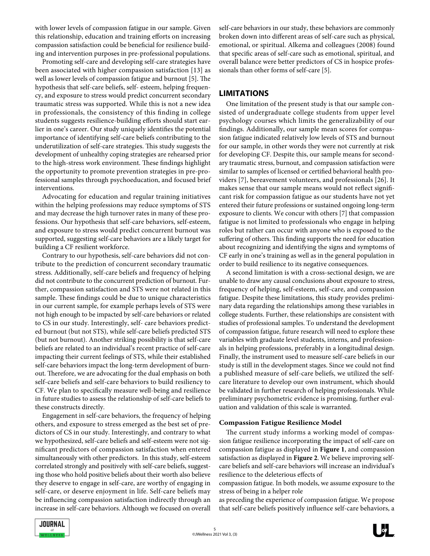with lower levels of compassion fatigue in our sample. Given this relationship, education and training efforts on increasing compassion satisfaction could be beneficial for resilience building and intervention purposes in pre-professional populations.

Promoting self-care and developing self-care strategies have been associated with higher compassion satisfaction [13] as well as lower levels of compassion fatigue and burnout [5]. The hypothesis that self-care beliefs, self- esteem, helping frequency, and exposure to stress would predict concurrent secondary traumatic stress was supported. While this is not a new idea in professionals, the consistency of this finding in college students suggests resilience-building efforts should start earlier in one's career. Our study uniquely identifies the potential importance of identifying self-care beliefs contributing to the underutilization of self-care strategies. This study suggests the development of unhealthy coping strategies are rehearsed prior to the high-stress work environment. These findings highlight the opportunity to promote prevention strategies in pre-professional samples through psychoeducation, and focused brief interventions.

Advocating for education and regular training initiatives within the helping professions may reduce symptoms of STS and may decrease the high turnover rates in many of these professions. Our hypothesis that self-care behaviors, self-esteem, and exposure to stress would predict concurrent burnout was supported, suggesting self-care behaviors are a likely target for building a CF resilient workforce.

Contrary to our hypothesis, self-care behaviors did not contribute to the prediction of concurrent secondary traumatic stress. Additionally, self-care beliefs and frequency of helping did not contribute to the concurrent prediction of burnout. Further, compassion satisfaction and STS were not related in this sample. These findings could be due to unique characteristics in our current sample, for example perhaps levels of STS were not high enough to be impacted by self-care behaviors or related to CS in our study. Interestingly, self- care behaviors predicted burnout (but not STS), while self-care beliefs predicted STS (but not burnout). Another striking possibility is that self-care beliefs are related to an individual's recent practice of self-care impacting their current feelings of STS, while their established self-care behaviors impact the long-term development of burnout. Therefore, we are advocating for the dual emphasis on both self-care beliefs and self-care behaviors to build resiliency to CF. We plan to specifically measure well-being and resilience in future studies to assess the relationship of self-care beliefs to these constructs directly.

Engagement in self-care behaviors, the frequency of helping others, and exposure to stress emerged as the best set of predictors of CS in our study. Interestingly, and contrary to what we hypothesized, self-care beliefs and self-esteem were not significant predictors of compassion satisfaction when entered simultaneously with other predictors. In this study, self-esteem correlated strongly and positively with self-care beliefs, suggesting those who hold positive beliefs about their worth also believe they deserve to engage in self-care, are worthy of engaging in self-care, or deserve enjoyment in life. Self-care beliefs may be influencing compassion satisfaction indirectly through an increase in self-care behaviors. Although we focused on overall self-care behaviors in our study, these behaviors are commonly broken down into different areas of self-care such as physical, emotional, or spiritual. Alkema and colleagues (2008) found that specific areas of self-care such as emotional, spiritual, and overall balance were better predictors of CS in hospice professionals than other forms of self-care [5].

# **LIMITATIONS**

One limitation of the present study is that our sample consisted of undergraduate college students from upper level psychology courses which limits the generalizability of our findings. Additionally, our sample mean scores for compassion fatigue indicated relatively low levels of STS and burnout for our sample, in other words they were not currently at risk for developing CF. Despite this, our sample means for secondary traumatic stress, burnout, and compassion satisfaction were similar to samples of licensed or certified behavioral health providers [7], bereavement volunteers, and professionals [26]. It makes sense that our sample means would not reflect significant risk for compassion fatigue as our students have not yet entered their future professions or sustained ongoing long-term exposure to clients. We concur with others [7] that compassion fatigue is not limited to professionals who engage in helping roles but rather can occur with anyone who is exposed to the suffering of others. This finding supports the need for education about recognizing and identifying the signs and symptoms of CF early in one's training as well as in the general population in order to build resilience to its negative consequences.

A second limitation is with a cross-sectional design, we are unable to draw any causal conclusions about exposure to stress, frequency of helping, self-esteem, self-care, and compassion fatigue. Despite these limitations, this study provides preliminary data regarding the relationships among these variables in college students. Further, these relationships are consistent with studies of professional samples. To understand the development of compassion fatigue, future research will need to explore these variables with graduate level students, interns, and professionals in helping professions, preferably in a longitudinal design. Finally, the instrument used to measure self-care beliefs in our study is still in the development stages. Since we could not find a published measure of self-care beliefs, we utilized the selfcare literature to develop our own instrument, which should be validated in further research of helping professionals. While preliminary psychometric evidence is promising, further evaluation and validation of this scale is warranted.

#### **Compassion Fatigue Resilience Model**

The current study informs a working model of compassion fatigue resilience incorporating the impact of self-care on compassion fatigue as displayed in **Figure 1**, and compassion satisfaction as displayed in **Figure 2**. We believe improving selfcare beliefs and self-care behaviors will increase an individual's resilience to the deleterious effects of

compassion fatigue. In both models, we assume exposure to the stress of being in a helper role

as preceding the experience of compassion fatigue. We propose that self-care beliefs positively influence self-care behaviors, a



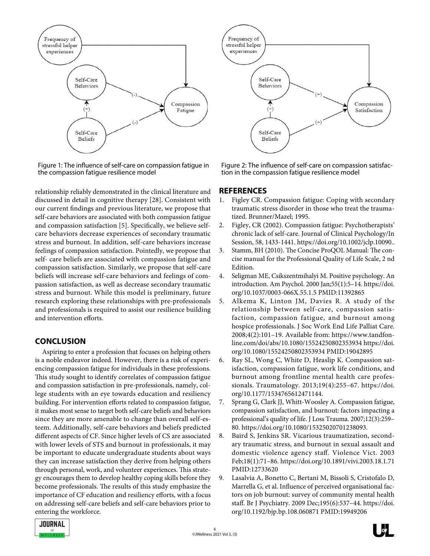

Figure 1: The influence of self-care on compassion fatigue in the compassion fatigue resilience model

relationship reliably demonstrated in the clinical literature and discussed in detail in cognitive therapy [28]. Consistent with our current findings and previous literature, we propose that self-care behaviors are associated with both compassion fatigue and compassion satisfaction [5]. Specifically, we believe selfcare behaviors decrease experiences of secondary traumatic stress and burnout. In addition, self-care behaviors increase feelings of compassion satisfaction. Pointedly, we propose that self- care beliefs are associated with compassion fatigue and compassion satisfaction. Similarly, we propose that self-care beliefs will increase self-care behaviors and feelings of compassion satisfaction, as well as decrease secondary traumatic stress and burnout. While this model is preliminary, future research exploring these relationships with pre-professionals and professionals is required to assist our resilience building and intervention efforts.

# **CONCLUSION**

Aspiring to enter a profession that focuses on helping others is a noble endeavor indeed. However, there is a risk of experiencing compassion fatigue for individuals in these professions. This study sought to identify correlates of compassion fatigue and compassion satisfaction in pre-professionals, namely, college students with an eye towards education and resiliency building. For intervention efforts related to compassion fatigue, it makes most sense to target both self-care beliefs and behaviors since they are more amenable to change than overall self-esteem. Additionally, self-care behaviors and beliefs predicted different aspects of CF. Since higher levels of CS are associated with lower levels of STS and burnout in professionals, it may be important to educate undergraduate students about ways they can increase satisfaction they derive from helping others through personal, work, and volunteer experiences. This strategy encourages them to develop healthy coping skills before they become professionals. The results of this study emphasize the importance of CF education and resiliency efforts, with a focus on addressing self-care beliefs and self-care behaviors prior to entering the workforce.



Figure 2: The influence of self-care on compassion satisfaction in the compassion fatigue resilience model

# **REFERENCES**

- 1. Figley CR. Compassion fatigue: Coping with secondary traumatic stress disorder in those who treat the traumatized. Brunner/Mazel; 1995.
- 2. Figley, CR (2002). Compassion fatigue: Psychotherapists' chronic lack of self-care. Journal of Clinical Psychology/In Session, 58, 1433-1441. https://doi.org/10.1002/jclp.10090..
- 3. Stamm, BH (2010). The Concise ProQOL Manual: The concise manual for the Professional Quality of Life Scale, 2 nd Edition.
- 4. Seligman ME, Csikszentmihalyi M. Positive psychology. An introduction. Am Psychol. 2000 Jan;55(1):5–14. https://doi. org/10.1037/0003-066X.55.1.5 PMID:11392865
- 5. Alkema K, Linton JM, Davies R. A study of the relationship between self-care, compassion satisfaction, compassion fatigue, and burnout among hospice professionals. J Soc Work End Life Palliat Care. 2008;4(2):101–19. Available from: https://www.tandfonline.com/doi/abs/10.1080/15524250802353934 https://doi. org/10.1080/15524250802353934 PMID:19042895
- 6. Ray SL, Wong C, White D, Heaslip K. Compassion satisfaction, compassion fatigue, work life conditions, and burnout among frontline mental health care professionals. Traumatology. 2013;19(4):255–67. https://doi. org/10.1177/1534765612471144.
- 7. Sprang G, Clark JJ, Whitt-Woosley A. Compassion fatigue, compassion satisfaction, and burnout: factors impacting a professional's quality of life. J Loss Trauma. 2007;12(3):259– 80. https://doi.org/10.1080/15325020701238093.
- 8. Baird S, Jenkins SR. Vicarious traumatization, secondary traumatic stress, and burnout in sexual assault and domestic violence agency staff. Violence Vict. 2003 Feb;18(1):71–86. https://doi.org/10.1891/vivi.2003.18.1.71 PMID:12733620
- 9. Lasalvia A, Bonetto C, Bertani M, Bissoli S, Cristofalo D, Marrella G, et al. Influence of perceived organisational factors on job burnout: survey of community mental health staff. Br J Psychiatry. 2009 Dec;195(6):537–44. https://doi. org/10.1192/bjp.bp.108.060871 PMID:19949206



 $\begin{bmatrix} 1 \\ 0 \end{bmatrix}$